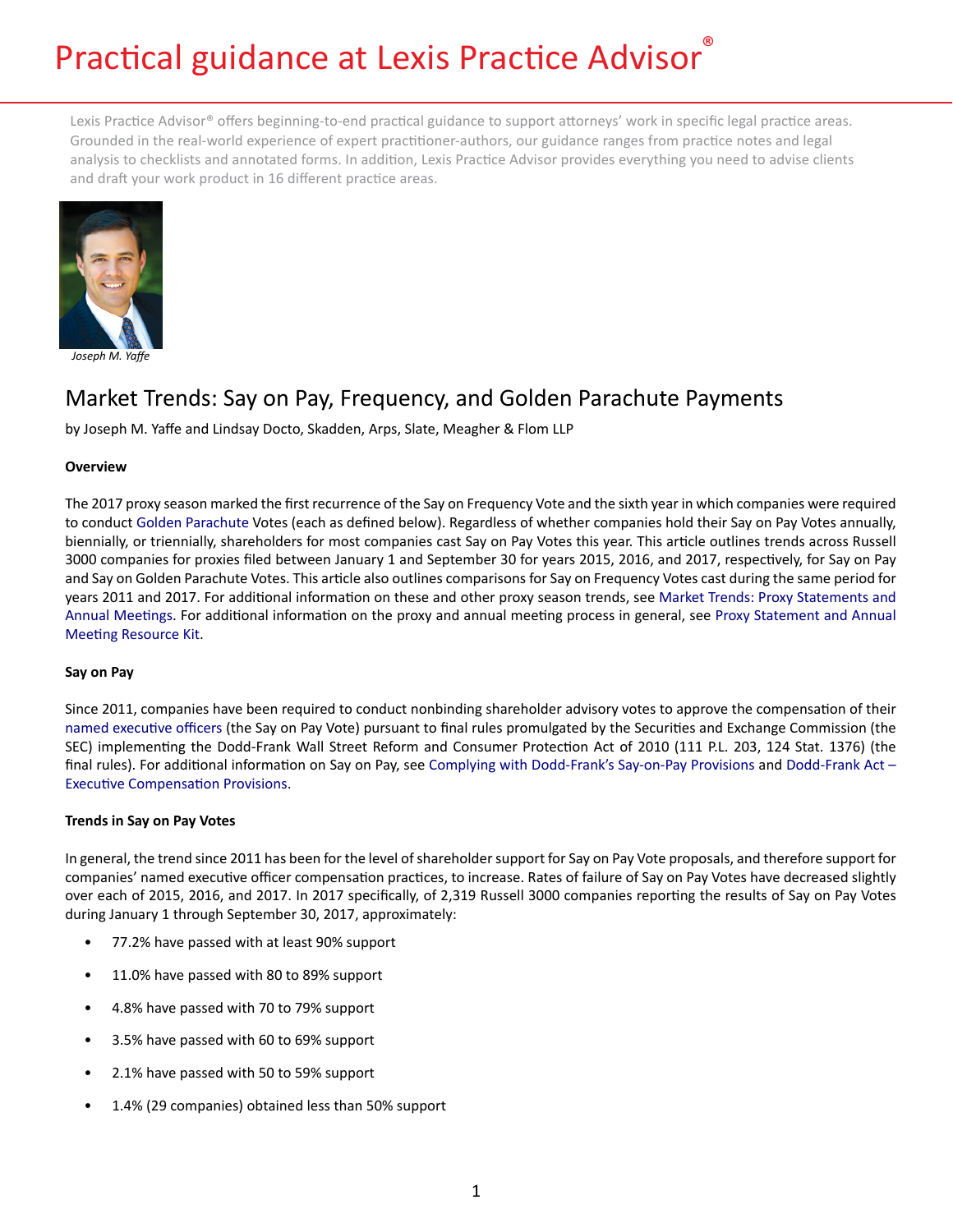# Practical guidance at Lexis Practice Advisor®

Lexis Practice Advisor® offers beginning-to-end practical guidance to support attorneys' work in specific legal practice areas. Grounded in the real-world experience of expert practitioner-authors, our guidance ranges from practice notes and legal analysis to checklists and annotated forms. In addition, Lexis Practice Advisor provides everything you need to advise clients and draft your work product in 16 different practice areas.



*Joseph M. Yaffe*

# Market Trends: Say on Pay, Frequency, and Golden Parachute Payments

by Joseph M. Yaffe and Lindsay Docto, Skadden, Arps, Slate, Meagher & Flom LLP

# **Overview**

The 2017 proxy season marked the first recurrence of the Say on Frequency Vote and the sixth year in which companies were required to conduct [Golden Parachute](https://advance.lexis.com/open/document/lpadocument/?pdmfid=1000522&crid=8acc8e65-ee59-4ebe-a345-0b5e8335b771&pddocfullpath=%2Fshared%2Fdocument%2Fanalytical-materials%2Furn%3AcontentItem%3A5NM3-BB71-F2TK-229K-00000-00&pddocid=urn%3AcontentItem%3A5NM3-BB71-F2TK-229K-00000-00&pdcontentcomponentid=149080&pdteaserkey=sr0&pditab=allpods&ecomp=pvtg&earg=sr0&prid=619f0f85-8ee3-4a0c-8a91-382108d54c74) Votes (each as defined below). Regardless of whether companies hold their Say on Pay Votes annually, biennially, or triennially, shareholders for most companies cast Say on Pay Votes this year. This article outlines trends across Russell 3000 companies for proxies filed between January 1 and September 30 for years 2015, 2016, and 2017, respectively, for Say on Pay and Say on Golden Parachute Votes. This article also outlines comparisons for Say on Frequency Votes cast during the same period for years 2011 and 2017. For additional information on these and other proxy season trends, see [Market Trends: Proxy Statements and](https://advance.lexis.com/open/document/lpadocument/?pdmfid=1000522&crid=3520edc2-0032-4413-86f5-173910d132cb&pddocfullpath=%2Fshared%2Fdocument%2Fanalytical-materials%2Furn%3AcontentItem%3A5PM7-NB31-JJ1H-X1KX-00000-00&pddocid=urn%3AcontentItem%3A5PM7-NB31-JJ1H-X1KX-00000-00&pdcontentcomponentid=101206&pdteaserkey=sr0&pditab=allpods&ecomp=pvtg&earg=sr0&prid=881e0c39-b9e7-4efc-845a-a52063403631) [Annual Meetings.](https://advance.lexis.com/open/document/lpadocument/?pdmfid=1000522&crid=3520edc2-0032-4413-86f5-173910d132cb&pddocfullpath=%2Fshared%2Fdocument%2Fanalytical-materials%2Furn%3AcontentItem%3A5PM7-NB31-JJ1H-X1KX-00000-00&pddocid=urn%3AcontentItem%3A5PM7-NB31-JJ1H-X1KX-00000-00&pdcontentcomponentid=101206&pdteaserkey=sr0&pditab=allpods&ecomp=pvtg&earg=sr0&prid=881e0c39-b9e7-4efc-845a-a52063403631) For additional information on the proxy and annual meeting process in general, see [Proxy Statement and Annual](https://advance.lexis.com/open/document/lpadocument/?pdmfid=1000522&crid=1d4f36f6-b87b-4f15-88ea-9b00fa36fc53&pddocfullpath=%2Fshared%2Fdocument%2Fforms%2Furn%3AcontentItem%3A5KV0-C791-F7G6-6118-00000-00&pddocid=urn%3AcontentItem%3A5KV0-C791-F7G6-6118-00000-00&pdcontentcomponentid=101207&pdteaserkey=sr0&pditab=allpods&ecomp=pvtg&earg=sr0&prid=fa0c0c90-e1e4-4249-8485-5b627bdcefb0)  [Meeting Resource Kit](https://advance.lexis.com/open/document/lpadocument/?pdmfid=1000522&crid=1d4f36f6-b87b-4f15-88ea-9b00fa36fc53&pddocfullpath=%2Fshared%2Fdocument%2Fforms%2Furn%3AcontentItem%3A5KV0-C791-F7G6-6118-00000-00&pddocid=urn%3AcontentItem%3A5KV0-C791-F7G6-6118-00000-00&pdcontentcomponentid=101207&pdteaserkey=sr0&pditab=allpods&ecomp=pvtg&earg=sr0&prid=fa0c0c90-e1e4-4249-8485-5b627bdcefb0).

# **Say on Pay**

Since 2011, companies have been required to conduct nonbinding shareholder advisory votes to approve the compensation of their [named executive officers](https://advance.lexis.com/open/document/lpadocument/?pdmfid=1000522&crid=cca4151d-2712-4da8-9080-bda88ac10ce9&pddocfullpath=%2Fshared%2Fdocument%2Fanalytical-materials%2Furn%3AcontentItem%3A5NM3-BB71-F2TK-22H4-00000-00&pddocid=urn%3AcontentItem%3A5NM3-BB71-F2TK-22H4-00000-00&pdcontentcomponentid=149080&pdteaserkey=sr0&pditab=allpods&ecomp=pvtg&earg=sr0&prid=bb7616e6-df21-4369-90d1-93d9be582b75) (the Say on Pay Vote) pursuant to final rules promulgated by the Securities and Exchange Commission (the SEC) implementing the Dodd-Frank Wall Street Reform and Consumer Protection Act of 2010 (111 P.L. 203, 124 Stat. 1376) (the final rules). For additional information on Say on Pay, see [Complying with Dodd-Frank's Say-on-Pay Provisions](https://advance.lexis.com/open/document/lpadocument/?pdmfid=1000522&crid=37d3dd42-2e0f-4a05-88bc-865e5c7b0a7c&pddocfullpath=%2Fshared%2Fdocument%2Fanalytical-materials%2Furn%3AcontentItem%3A5PSY-K7M1-JKB3-X2BW-00000-00&pddocid=urn%3AcontentItem%3A5PSY-K7M1-JKB3-X2BW-00000-00&pdcontentcomponentid=101206&pdteaserkey=sr3&pditab=allpods&ecomp=pvtg&earg=sr3&prid=fad51afa-e319-4726-afa0-0b58958cff4b) and [Dodd-Frank Act –](https://advance.lexis.com/open/document/lpadocument/?pdmfid=1000522&crid=50dd3d01-b2eb-4633-ad65-39a4feb10188&pddocfullpath=%2Fshared%2Fdocument%2Fanalytical-materials%2Furn%3AcontentItem%3A5KPJ-X5R1-FFMK-M16D-00000-00&pddocid=urn%3AcontentItem%3A5KPJ-X5R1-FFMK-M16D-00000-00&pdcontentcomponentid=126166&pdteaserkey=sr0&pditab=allpods&ecomp=pvtg&earg=sr0&prid=9e06a40a-5d4a-4402-8d6c-265274091952)  [Executive Compensation Provisions](https://advance.lexis.com/open/document/lpadocument/?pdmfid=1000522&crid=50dd3d01-b2eb-4633-ad65-39a4feb10188&pddocfullpath=%2Fshared%2Fdocument%2Fanalytical-materials%2Furn%3AcontentItem%3A5KPJ-X5R1-FFMK-M16D-00000-00&pddocid=urn%3AcontentItem%3A5KPJ-X5R1-FFMK-M16D-00000-00&pdcontentcomponentid=126166&pdteaserkey=sr0&pditab=allpods&ecomp=pvtg&earg=sr0&prid=9e06a40a-5d4a-4402-8d6c-265274091952).

# **Trends in Say on Pay Votes**

In general, the trend since 2011 has been for the level of shareholder support for Say on Pay Vote proposals, and therefore support for companies' named executive officer compensation practices, to increase. Rates of failure of Say on Pay Votes have decreased slightly over each of 2015, 2016, and 2017. In 2017 specifically, of 2,319 Russell 3000 companies reporting the results of Say on Pay Votes during January 1 through September 30, 2017, approximately:

- 77.2% have passed with at least 90% support
- 11.0% have passed with 80 to 89% support
- 4.8% have passed with 70 to 79% support
- 3.5% have passed with 60 to 69% support
- 2.1% have passed with 50 to 59% support
- 1.4% (29 companies) obtained less than 50% support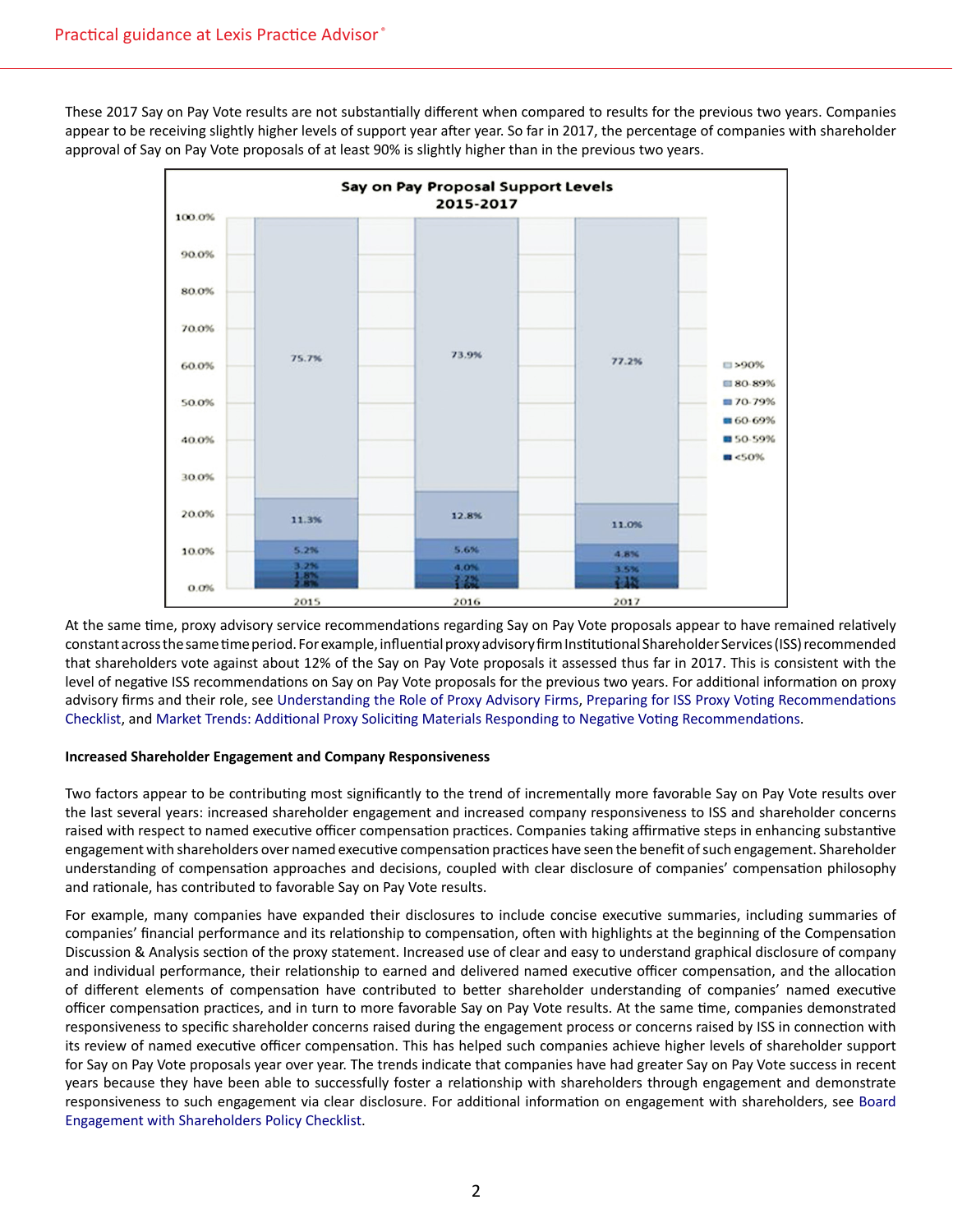These 2017 Say on Pay Vote results are not substantially different when compared to results for the previous two years. Companies appear to be receiving slightly higher levels of support year after year. So far in 2017, the percentage of companies with shareholder approval of Say on Pay Vote proposals of at least 90% is slightly higher than in the previous two years.



At the same time, proxy advisory service recommendations regarding Say on Pay Vote proposals appear to have remained relatively constant across the same time period. For example, influential proxy advisory firm Institutional Shareholder Services (ISS) recommended that shareholders vote against about 12% of the Say on Pay Vote proposals it assessed thus far in 2017. This is consistent with the level of negative ISS recommendations on Say on Pay Vote proposals for the previous two years. For additional information on proxy advisory firms and their role, see [Understanding the Role of Proxy Advisory Firms](https://advance.lexis.com/open/document/lpadocument/?pdmfid=1000522&crid=763598c4-b191-4f26-a4cf-e614d4aca767&pddocfullpath=%2Fshared%2Fdocument%2Fanalytical-materials%2Furn%3AcontentItem%3A576Y-2CH1-DXPM-S07T-00000-00&pddocid=urn%3AcontentItem%3A576Y-2CH1-DXPM-S07T-00000-00&pdcontentcomponentid=101206&pdteaserkey=sr0&pditab=allpods&ecomp=pvtg&earg=sr0&prid=3af066a1-ca3b-461b-ac69-b0063fbc8c99), [Preparing for ISS Proxy Voting Recommendations](https://advance.lexis.com/open/document/lpadocument/?pdmfid=1000522&crid=5bac4d88-c824-4dba-a647-0bee70117d27&pddocfullpath=%2Fshared%2Fdocument%2Fforms%2Furn%3AcontentItem%3A5KV0-C791-F7G6-6118-00000-00&pddocid=urn%3AcontentItem%3A5KV0-C791-F7G6-6118-00000-00&pdcontentcomponentid=101207&pdteaserkey=sr0&pditab=allpods&ecomp=pvtg&earg=sr0&prid=81ae519d-d2d7-4225-b0b4-24608540f739)  [Checklist](https://advance.lexis.com/open/document/lpadocument/?pdmfid=1000522&crid=5bac4d88-c824-4dba-a647-0bee70117d27&pddocfullpath=%2Fshared%2Fdocument%2Fforms%2Furn%3AcontentItem%3A5KV0-C791-F7G6-6118-00000-00&pddocid=urn%3AcontentItem%3A5KV0-C791-F7G6-6118-00000-00&pdcontentcomponentid=101207&pdteaserkey=sr0&pditab=allpods&ecomp=pvtg&earg=sr0&prid=81ae519d-d2d7-4225-b0b4-24608540f739), and [Market Trends: Additional Proxy Soliciting Materials Responding to Negative Voting Recommendations](https://advance.lexis.com/open/document/lpadocument/?pdmfid=1000522&crid=5597cc4a-ff9f-43c0-8a12-88a1635df521&pddocfullpath=%2Fshared%2Fdocument%2Fanalytical-materials%2Furn%3AcontentItem%3A5NFM-5HH1-JN6B-S37V-00000-00&pddocid=urn%3AcontentItem%3A5NFM-5HH1-JN6B-S37V-00000-00&pdcontentcomponentid=101206&pdteaserkey=sr0&pditab=allpods&ecomp=pvtg&earg=sr0&prid=163fb56c-d8a7-4ff9-b58b-3de830c76e70).

#### **Increased Shareholder Engagement and Company Responsiveness**

Two factors appear to be contributing most significantly to the trend of incrementally more favorable Say on Pay Vote results over the last several years: increased shareholder engagement and increased company responsiveness to ISS and shareholder concerns raised with respect to named executive officer compensation practices. Companies taking affirmative steps in enhancing substantive engagement with shareholders over named executive compensation practices have seen the benefit of such engagement. Shareholder understanding of compensation approaches and decisions, coupled with clear disclosure of companies' compensation philosophy and rationale, has contributed to favorable Say on Pay Vote results.

For example, many companies have expanded their disclosures to include concise executive summaries, including summaries of companies' financial performance and its relationship to compensation, often with highlights at the beginning of the Compensation Discussion & Analysis section of the proxy statement. Increased use of clear and easy to understand graphical disclosure of company and individual performance, their relationship to earned and delivered named executive officer compensation, and the allocation of different elements of compensation have contributed to better shareholder understanding of companies' named executive officer compensation practices, and in turn to more favorable Say on Pay Vote results. At the same time, companies demonstrated responsiveness to specific shareholder concerns raised during the engagement process or concerns raised by ISS in connection with its review of named executive officer compensation. This has helped such companies achieve higher levels of shareholder support for Say on Pay Vote proposals year over year. The trends indicate that companies have had greater Say on Pay Vote success in recent years because they have been able to successfully foster a relationship with shareholders through engagement and demonstrate responsiveness to such engagement via clear disclosure. For additional information on engagement with shareholders, see [Board](https://advance.lexis.com/open/document/lpadocument/?pdmfid=1000522&crid=f557cb08-a003-4676-9360-07bca8c22ada&pddocfullpath=%2Fshared%2Fdocument%2Fforms%2Furn%3AcontentItem%3A5J9R-YN61-DXHD-G0RT-00000-00&pddocid=urn%3AcontentItem%3A5J9R-YN61-DXHD-G0RT-00000-00&pdcontentcomponentid=101207&pdteaserkey=sr0&pditab=allpods&ecomp=pvtg&earg=sr0&prid=615e2024-7b18-47da-91e8-17ac0045d735)  [Engagement with Shareholders Policy Checklist](https://advance.lexis.com/open/document/lpadocument/?pdmfid=1000522&crid=f557cb08-a003-4676-9360-07bca8c22ada&pddocfullpath=%2Fshared%2Fdocument%2Fforms%2Furn%3AcontentItem%3A5J9R-YN61-DXHD-G0RT-00000-00&pddocid=urn%3AcontentItem%3A5J9R-YN61-DXHD-G0RT-00000-00&pdcontentcomponentid=101207&pdteaserkey=sr0&pditab=allpods&ecomp=pvtg&earg=sr0&prid=615e2024-7b18-47da-91e8-17ac0045d735).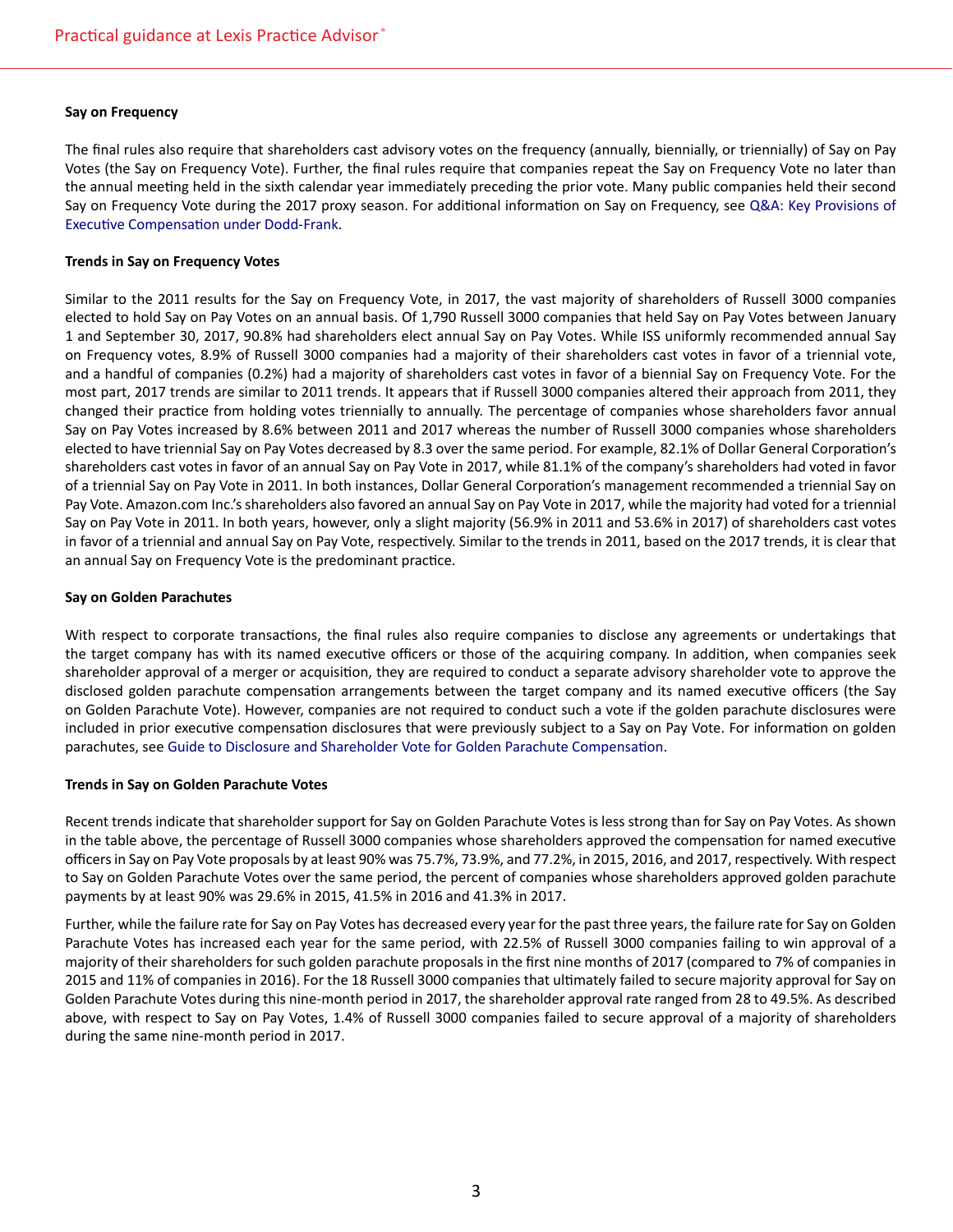#### **Say on Frequency**

The final rules also require that shareholders cast advisory votes on the frequency (annually, biennially, or triennially) of Say on Pay Votes (the Say on Frequency Vote). Further, the final rules require that companies repeat the Say on Frequency Vote no later than the annual meeting held in the sixth calendar year immediately preceding the prior vote. Many public companies held their second Say on Frequency Vote during the 2017 proxy season. For additional information on Say on Frequency, see [Q&A: Key Provisions of](https://advance.lexis.com/open/document/lpadocument/?pdmfid=1000522&crid=ee64f1f2-49e7-4e25-9c00-44d30d5e9db4&pddocfullpath=%2Fshared%2Fdocument%2Fanalytical-materials%2Furn%3AcontentItem%3A5MNJ-VSJ1-JK4W-M537-00000-00&pddocid=urn%3AcontentItem%3A5MNJ-VSJ1-JK4W-M537-00000-00&pdcontentcomponentid=101206&pdteaserkey=sr0&pditab=allpods&ecomp=pvtg&earg=sr0&prid=bebff704-a17a-42d9-8551-3b3febc4ea43)  [Executive Compensation under Dodd-Frank](https://advance.lexis.com/open/document/lpadocument/?pdmfid=1000522&crid=ee64f1f2-49e7-4e25-9c00-44d30d5e9db4&pddocfullpath=%2Fshared%2Fdocument%2Fanalytical-materials%2Furn%3AcontentItem%3A5MNJ-VSJ1-JK4W-M537-00000-00&pddocid=urn%3AcontentItem%3A5MNJ-VSJ1-JK4W-M537-00000-00&pdcontentcomponentid=101206&pdteaserkey=sr0&pditab=allpods&ecomp=pvtg&earg=sr0&prid=bebff704-a17a-42d9-8551-3b3febc4ea43).

#### **Trends in Say on Frequency Votes**

Similar to the 2011 results for the Say on Frequency Vote, in 2017, the vast majority of shareholders of Russell 3000 companies elected to hold Say on Pay Votes on an annual basis. Of 1,790 Russell 3000 companies that held Say on Pay Votes between January 1 and September 30, 2017, 90.8% had shareholders elect annual Say on Pay Votes. While ISS uniformly recommended annual Say on Frequency votes, 8.9% of Russell 3000 companies had a majority of their shareholders cast votes in favor of a triennial vote, and a handful of companies (0.2%) had a majority of shareholders cast votes in favor of a biennial Say on Frequency Vote. For the most part, 2017 trends are similar to 2011 trends. It appears that if Russell 3000 companies altered their approach from 2011, they changed their practice from holding votes triennially to annually. The percentage of companies whose shareholders favor annual Say on Pay Votes increased by 8.6% between 2011 and 2017 whereas the number of Russell 3000 companies whose shareholders elected to have triennial Say on Pay Votes decreased by 8.3 over the same period. For example, 82.1% of Dollar General Corporation's shareholders cast votes in favor of an annual Say on Pay Vote in 2017, while 81.1% of the company's shareholders had voted in favor of a triennial Say on Pay Vote in 2011. In both instances, Dollar General Corporation's management recommended a triennial Say on Pay Vote. Amazon.com Inc.'s shareholders also favored an annual Say on Pay Vote in 2017, while the majority had voted for a triennial Say on Pay Vote in 2011. In both years, however, only a slight majority (56.9% in 2011 and 53.6% in 2017) of shareholders cast votes in favor of a triennial and annual Say on Pay Vote, respectively. Similar to the trends in 2011, based on the 2017 trends, it is clear that an annual Say on Frequency Vote is the predominant practice.

#### **Say on Golden Parachutes**

With respect to corporate transactions, the final rules also require companies to disclose any agreements or undertakings that the target company has with its named executive officers or those of the acquiring company. In addition, when companies seek shareholder approval of a merger or acquisition, they are required to conduct a separate advisory shareholder vote to approve the disclosed golden parachute compensation arrangements between the target company and its named executive officers (the Say on Golden Parachute Vote). However, companies are not required to conduct such a vote if the golden parachute disclosures were included in prior executive compensation disclosures that were previously subject to a Say on Pay Vote. For information on golden parachutes, see [Guide to Disclosure and Shareholder Vote for Golden Parachute Compensation](https://advance.lexis.com/open/document/lpadocument/?pdmfid=1000522&crid=da9be3b8-7f28-4e94-a19f-02029df19007&pddocfullpath=%2Fshared%2Fdocument%2Fforms%2Furn%3AcontentItem%3A5N30-3RG1-F7G6-61SW-00000-00&pddocid=urn%3AcontentItem%3A5N30-3RG1-F7G6-61SW-00000-00&pdcontentcomponentid=101207&pdteaserkey=sr0&pditab=allpods&ecomp=pvtg&earg=sr0&prid=3723fba3-e21e-4581-9345-7e02cdec6cd7).

#### **Trends in Say on Golden Parachute Votes**

Recent trends indicate that shareholder support for Say on Golden Parachute Votes is less strong than for Say on Pay Votes. As shown in the table above, the percentage of Russell 3000 companies whose shareholders approved the compensation for named executive officers in Say on Pay Vote proposals by at least 90% was 75.7%, 73.9%, and 77.2%, in 2015, 2016, and 2017, respectively. With respect to Say on Golden Parachute Votes over the same period, the percent of companies whose shareholders approved golden parachute payments by at least 90% was 29.6% in 2015, 41.5% in 2016 and 41.3% in 2017.

Further, while the failure rate for Say on Pay Votes has decreased every year for the past three years, the failure rate for Say on Golden Parachute Votes has increased each year for the same period, with 22.5% of Russell 3000 companies failing to win approval of a majority of their shareholders for such golden parachute proposals in the first nine months of 2017 (compared to 7% of companies in 2015 and 11% of companies in 2016). For the 18 Russell 3000 companies that ultimately failed to secure majority approval for Say on Golden Parachute Votes during this nine-month period in 2017, the shareholder approval rate ranged from 28 to 49.5%. As described above, with respect to Say on Pay Votes, 1.4% of Russell 3000 companies failed to secure approval of a majority of shareholders during the same nine-month period in 2017.